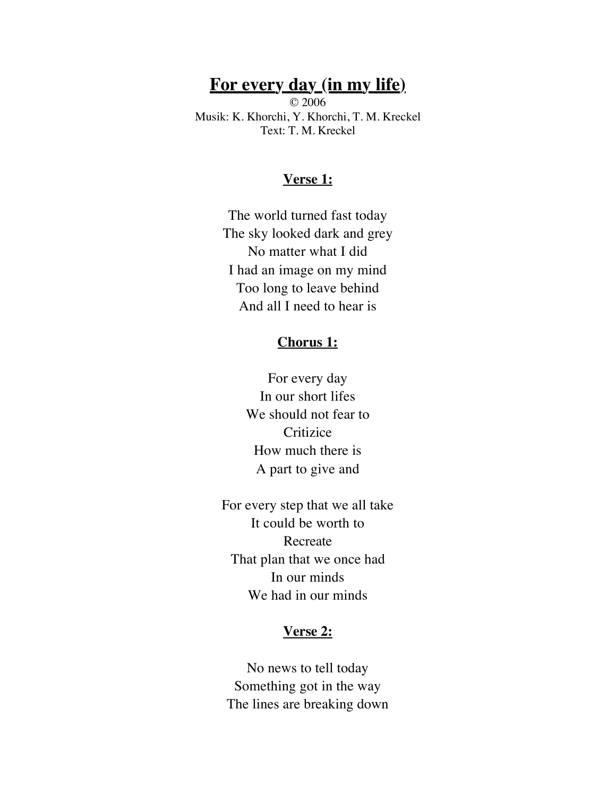# **For every day (in my life)**

© 2006 Musik: K. Khorchi, Y. Khorchi, T. M. Kreckel Text: T. M. Kreckel

## **Verse 1:**

The world turned fast today The sky looked dark and grey No matter what I did I had an image on my mind Too long to leave behind And all I need to hear is

### **Chorus 1:**

For every day In our short lifes We should not fear to **Critizice** How much there is A part to give and

For every step that we all take It could be worth to Recreate That plan that we once had In our minds We had in our minds

## **Verse 2:**

No news to tell today Something got in the way The lines are breaking down